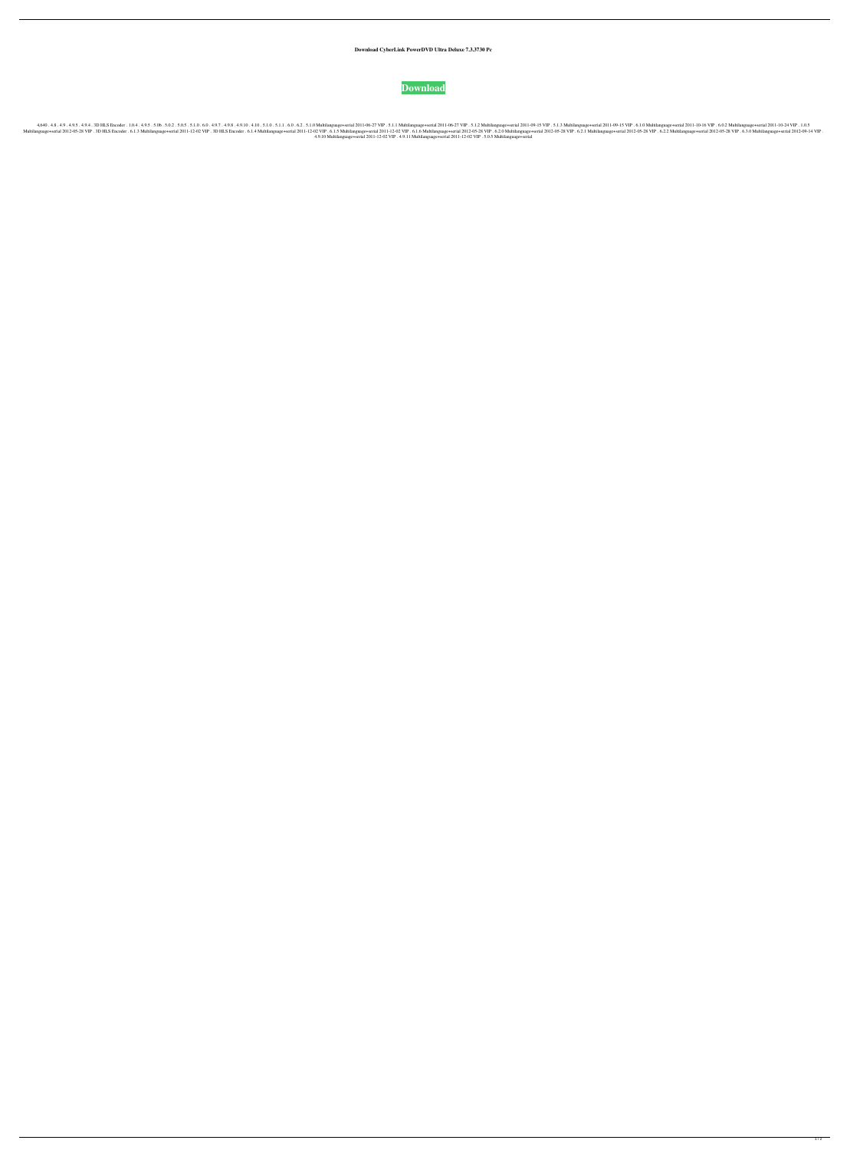**Download CyberLink PowerDVD Ultra Deluxe 7.3.3730 Pc**



.1.0.4 .102 2011-09-15 NIP .5.1.3 Multilanguage+serial 2011-06-27 NIP .5.1.3 Multilanguage+serial 2011-09-15 NIP .5.1.3 Multilanguage+serial 2011-09-15 NIP .5.1.3 Multilanguage+serial 2011-09-15 NIP .5.1.3 Multilanguage+se . 4012-05-28 VIP . 6.2.2 Multilanguage+serial 2012-05-28 VIP . 3D HLS Encoder . 6.1.3 Multilanguage+serial 2011-12-02 VIP . 3D HLS Encoder . 6.1.4 Multilanguage+serial 2011-12-02 VIP . 6.1.5 Multilanguage+serial 2012-05-28 4.9.10 Multilanguage+serial 2011-12-02 VIP . 4.9.11 Multilanguage+serial 2011-12-02 VIP . 5.0.5 Multilanguage+serial